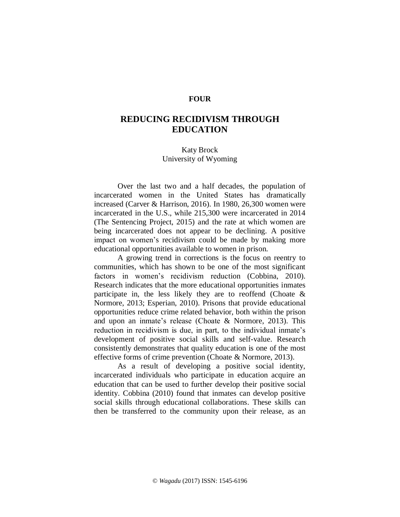## **FOUR**

## **REDUCING RECIDIVISM THROUGH EDUCATION**

Katy Brock University of Wyoming

Over the last two and a half decades, the population of incarcerated women in the United States has dramatically increased (Carver & Harrison, 2016). In 1980, 26,300 women were incarcerated in the U.S., while 215,300 were incarcerated in 2014 (The Sentencing Project, 2015) and the rate at which women are being incarcerated does not appear to be declining. A positive impact on women's recidivism could be made by making more educational opportunities available to women in prison.

A growing trend in corrections is the focus on reentry to communities, which has shown to be one of the most significant factors in women's recidivism reduction (Cobbina, 2010). Research indicates that the more educational opportunities inmates participate in, the less likely they are to reoffend (Choate  $\&$ Normore, 2013; Esperian, 2010). Prisons that provide educational opportunities reduce crime related behavior, both within the prison and upon an inmate's release (Choate & Normore, 2013). This reduction in recidivism is due, in part, to the individual inmate's development of positive social skills and self-value. Research consistently demonstrates that quality education is one of the most effective forms of crime prevention (Choate & Normore, 2013).

As a result of developing a positive social identity, incarcerated individuals who participate in education acquire an education that can be used to further develop their positive social identity. Cobbina (2010) found that inmates can develop positive social skills through educational collaborations. These skills can then be transferred to the community upon their release, as an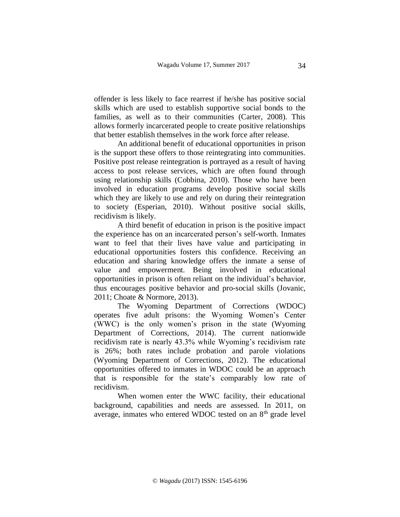offender is less likely to face rearrest if he/she has positive social skills which are used to establish supportive social bonds to the families, as well as to their communities (Carter, 2008). This allows formerly incarcerated people to create positive relationships that better establish themselves in the work force after release.

An additional benefit of educational opportunities in prison is the support these offers to those reintegrating into communities. Positive post release reintegration is portrayed as a result of having access to post release services, which are often found through using relationship skills (Cobbina, 2010). Those who have been involved in education programs develop positive social skills which they are likely to use and rely on during their reintegration to society (Esperian, 2010). Without positive social skills, recidivism is likely.

A third benefit of education in prison is the positive impact the experience has on an incarcerated person's self-worth. Inmates want to feel that their lives have value and participating in educational opportunities fosters this confidence. Receiving an education and sharing knowledge offers the inmate a sense of value and empowerment. Being involved in educational opportunities in prison is often reliant on the individual's behavior, thus encourages positive behavior and pro-social skills (Jovanic, 2011; Choate & Normore, 2013).

The Wyoming Department of Corrections (WDOC) operates five adult prisons: the Wyoming Women's Center (WWC) is the only women's prison in the state (Wyoming Department of Corrections, 2014). The current nationwide recidivism rate is nearly 43.3% while Wyoming's recidivism rate is 26%; both rates include probation and parole violations (Wyoming Department of Corrections, 2012). The educational opportunities offered to inmates in WDOC could be an approach that is responsible for the state's comparably low rate of recidivism.

When women enter the WWC facility, their educational background, capabilities and needs are assessed. In 2011, on average, inmates who entered WDOC tested on an 8<sup>th</sup> grade level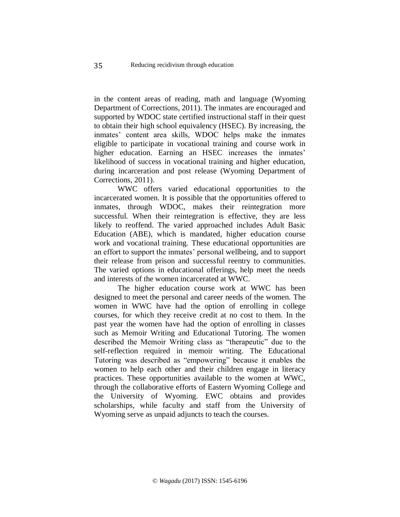in the content areas of reading, math and language (Wyoming Department of Corrections, 2011). The inmates are encouraged and supported by WDOC state certified instructional staff in their quest to obtain their high school equivalency (HSEC). By increasing, the inmates' content area skills, WDOC helps make the inmates eligible to participate in vocational training and course work in higher education. Earning an HSEC increases the inmates' likelihood of success in vocational training and higher education, during incarceration and post release (Wyoming Department of Corrections, 2011).

WWC offers varied educational opportunities to the incarcerated women. It is possible that the opportunities offered to inmates, through WDOC, makes their reintegration more successful. When their reintegration is effective, they are less likely to reoffend. The varied approached includes Adult Basic Education (ABE), which is mandated, higher education course work and vocational training. These educational opportunities are an effort to support the inmates' personal wellbeing, and to support their release from prison and successful reentry to communities. The varied options in educational offerings, help meet the needs and interests of the women incarcerated at WWC.

The higher education course work at WWC has been designed to meet the personal and career needs of the women. The women in WWC have had the option of enrolling in college courses, for which they receive credit at no cost to them. In the past year the women have had the option of enrolling in classes such as Memoir Writing and Educational Tutoring. The women described the Memoir Writing class as "therapeutic" due to the self-reflection required in memoir writing. The Educational Tutoring was described as "empowering" because it enables the women to help each other and their children engage in literacy practices. These opportunities available to the women at WWC, through the collaborative efforts of Eastern Wyoming College and the University of Wyoming. EWC obtains and provides scholarships, while faculty and staff from the University of Wyoming serve as unpaid adjuncts to teach the courses.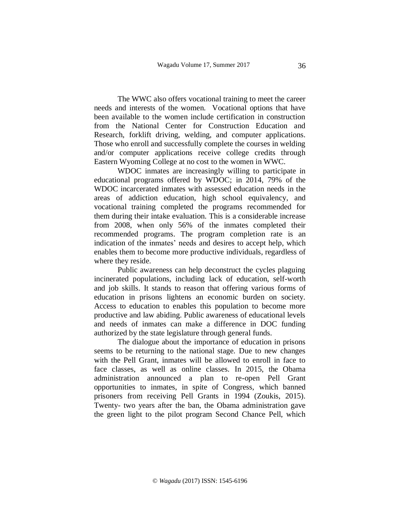The WWC also offers vocational training to meet the career needs and interests of the women. Vocational options that have been available to the women include certification in construction from the National Center for Construction Education and Research, forklift driving, welding, and computer applications. Those who enroll and successfully complete the courses in welding and/or computer applications receive college credits through Eastern Wyoming College at no cost to the women in WWC.

WDOC inmates are increasingly willing to participate in educational programs offered by WDOC; in 2014, 79% of the WDOC incarcerated inmates with assessed education needs in the areas of addiction education, high school equivalency, and vocational training completed the programs recommended for them during their intake evaluation. This is a considerable increase from 2008, when only 56% of the inmates completed their recommended programs. The program completion rate is an indication of the inmates' needs and desires to accept help, which enables them to become more productive individuals, regardless of where they reside.

Public awareness can help deconstruct the cycles plaguing incinerated populations, including lack of education, self-worth and job skills. It stands to reason that offering various forms of education in prisons lightens an economic burden on society. Access to education to enables this population to become more productive and law abiding. Public awareness of educational levels and needs of inmates can make a difference in DOC funding authorized by the state legislature through general funds.

The dialogue about the importance of education in prisons seems to be returning to the national stage. Due to new changes with the Pell Grant, inmates will be allowed to enroll in face to face classes, as well as online classes. In 2015, the Obama administration announced a plan to re-open Pell Grant opportunities to inmates, in spite of Congress, which banned prisoners from receiving Pell Grants in 1994 (Zoukis, 2015). Twenty- two years after the ban, the Obama administration gave the green light to the pilot program Second Chance Pell, which